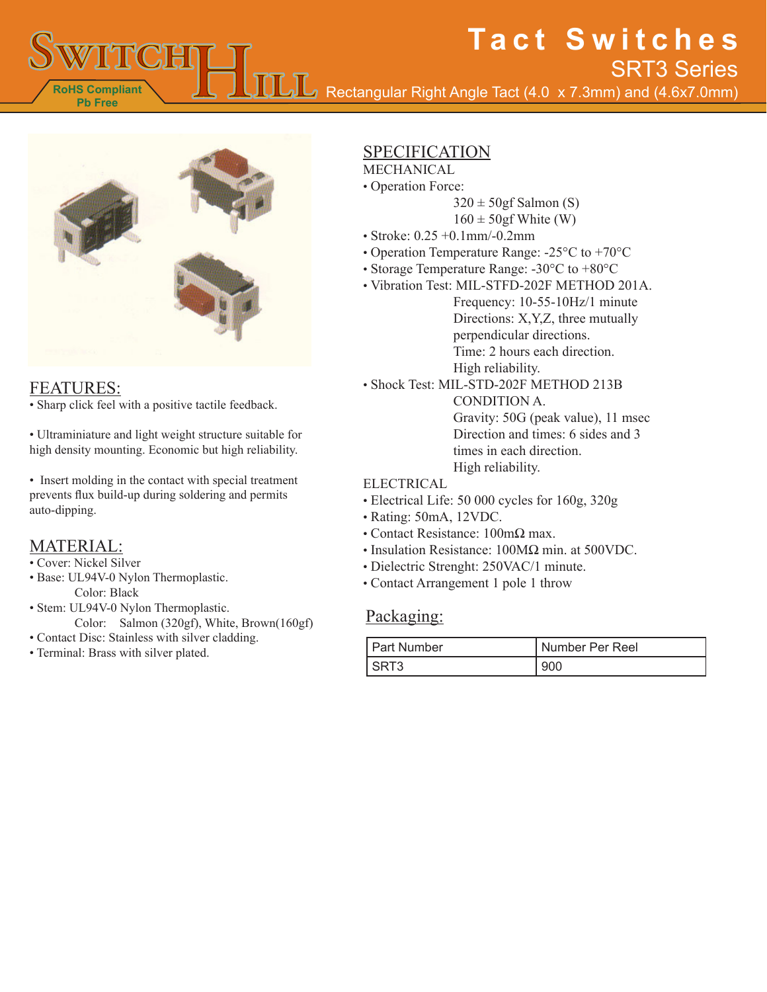Rectangular Right Angle Tact (4.0 x 7.3mm) and (4.6x7.0mm) SRT3 Series



### FEATURES:

**RoHS Compliant Pb Free**

• Sharp click feel with a positive tactile feedback.

• Ultraminiature and light weight structure suitable for high density mounting. Economic but high reliability.

• Insert molding in the contact with special treatment prevents flux build-up during soldering and permits auto-dipping.

### MATERIAL:

- Cover: Nickel Silver
- Base: UL94V-0 Nylon Thermoplastic. Color: Black
- Stem: UL94V-0 Nylon Thermoplastic.
	- Color: Salmon (320gf), White, Brown(160gf)
- Contact Disc: Stainless with silver cladding.
- Terminal: Brass with silver plated.

# SPECIFICATION

- **MECHANICAL**
- Operation Force:
	- $320 \pm 50$ gf Salmon (S)

**Tact Switches**

- $160 \pm 50$ gf White (W)
- Stroke: 0.25 +0.1mm/-0.2mm
- Operation Temperature Range: -25°C to +70°C
- Storage Temperature Range: -30°C to +80°C
- Vibration Test: MIL-STFD-202F METHOD 201A. Frequency: 10-55-10Hz/1 minute Directions: X,Y,Z, three mutually perpendicular directions. Time: 2 hours each direction. High reliability.

• Shock Test: MIL-STD-202F METHOD 213B CONDITION A. Gravity: 50G (peak value), 11 msec Direction and times: 6 sides and 3 times in each direction.

High reliability.

#### ELECTRICAL

- Electrical Life: 50 000 cycles for 160g, 320g
- Rating: 50mA, 12VDC.
- Contact Resistance: 100mΩ max.
- Insulation Resistance: 100MΩ min. at 500VDC.
- Dielectric Strenght: 250VAC/1 minute.
- Contact Arrangement 1 pole 1 throw

#### Packaging:

| <b>Part Number</b> | Number Per Reel |
|--------------------|-----------------|
|                    | 900             |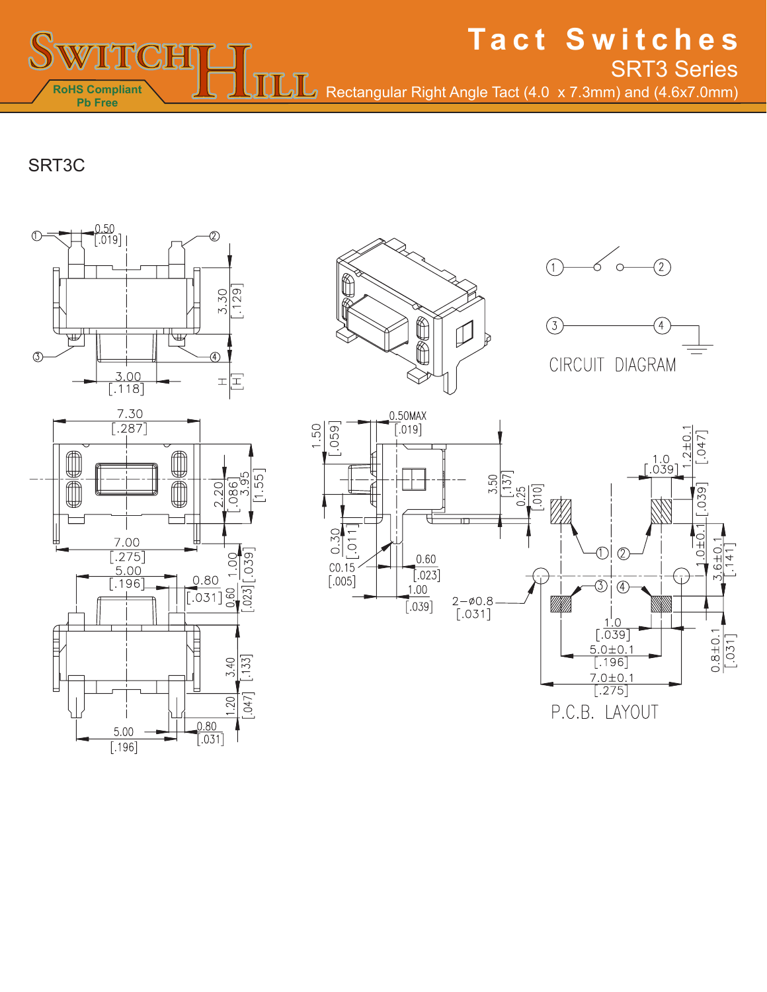**Tact Switches** Rectangular Right Angle Tact (4.0 x 7.3mm) and (4.6x7.0mm) SRT3 Series

SRT3C

**RoHS Compliant Pb Free**

**PICTH** 











P.C.B. LAYOUT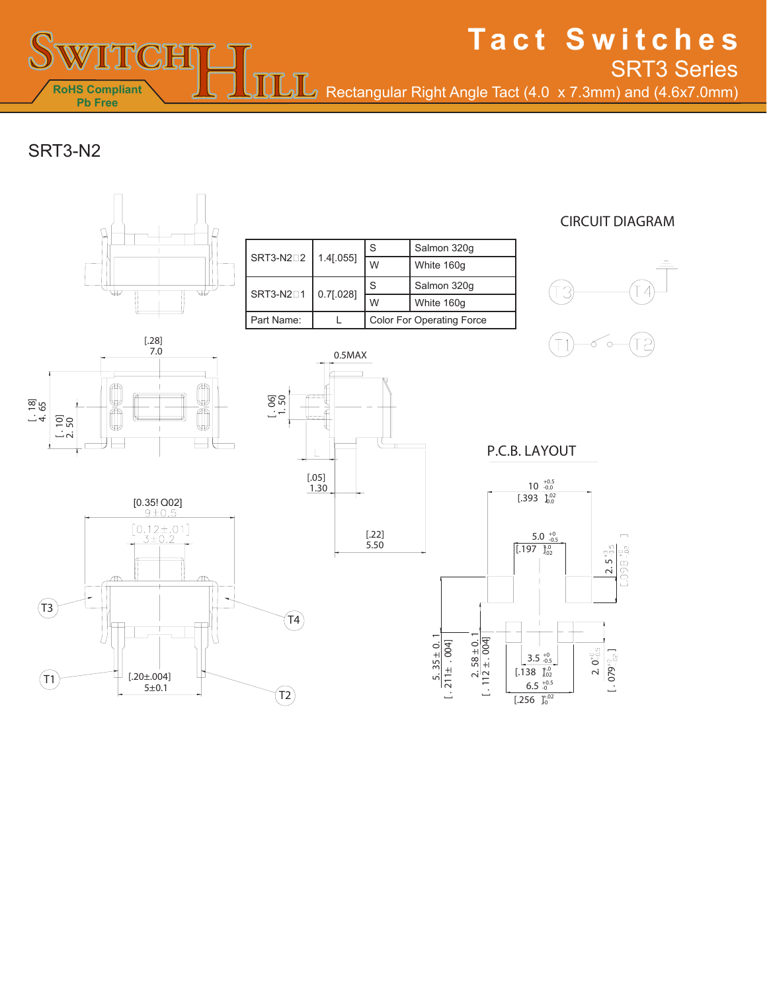Rectangular Right Angle Tact (4.0 x 7.3mm) and (4.6x7.0mm)

ŋ

**Tact Switches**

SRT3 Series

SRT3-N2

**RoHS Compliant Pb Free**

TICH

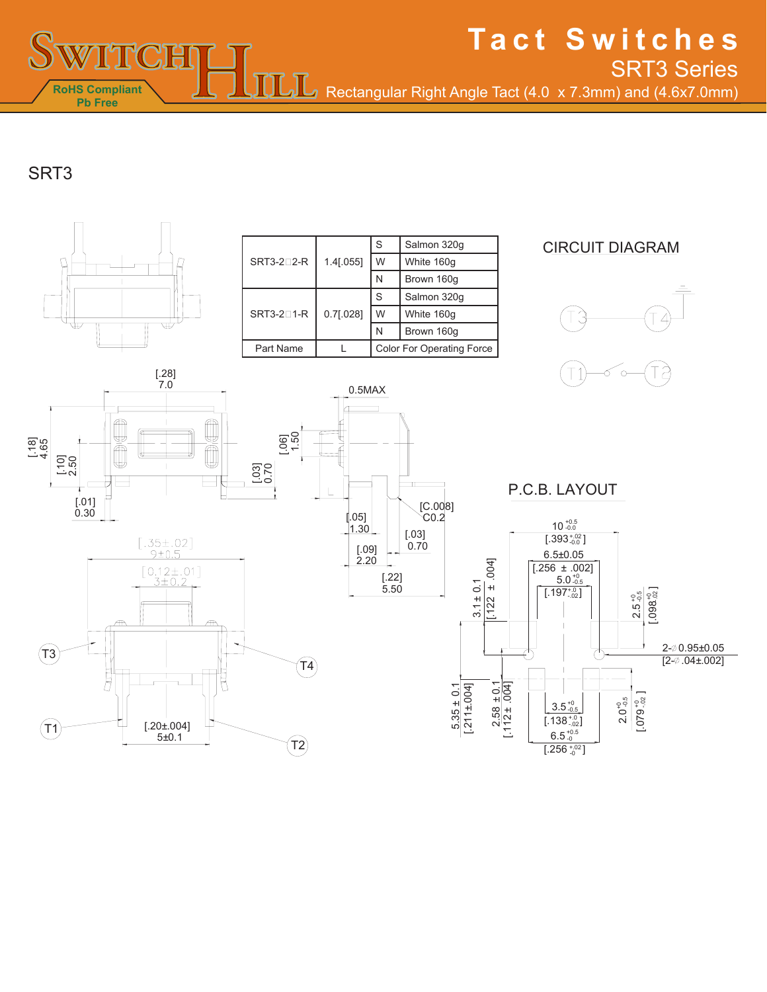■ Rectangular Right Angle Tact (4.0 x 7.3mm) and (4.6x7.0mm) SRT3 Series

**Tact Switches**

# SRT3

**RoHS Compliant Pb Free**

TICH